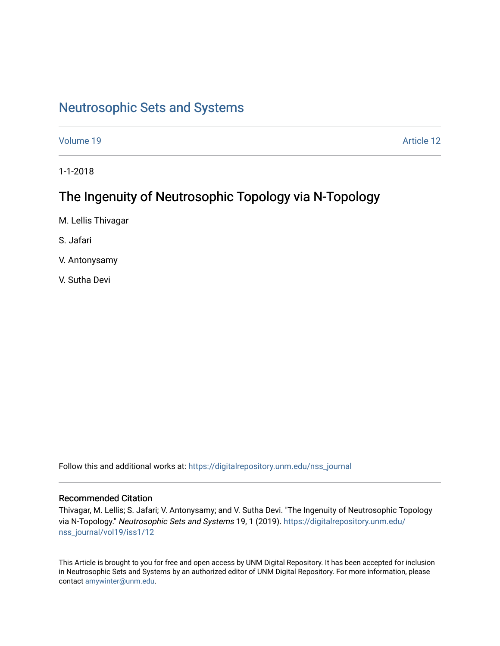## [Neutrosophic Sets and Systems](https://digitalrepository.unm.edu/nss_journal)

[Volume 19](https://digitalrepository.unm.edu/nss_journal/vol19) Article 12

1-1-2018

# The Ingenuity of Neutrosophic Topology via N-Topology

M. Lellis Thivagar

S. Jafari

V. Antonysamy

V. Sutha Devi

Follow this and additional works at: [https://digitalrepository.unm.edu/nss\\_journal](https://digitalrepository.unm.edu/nss_journal?utm_source=digitalrepository.unm.edu%2Fnss_journal%2Fvol19%2Fiss1%2F12&utm_medium=PDF&utm_campaign=PDFCoverPages) 

#### Recommended Citation

Thivagar, M. Lellis; S. Jafari; V. Antonysamy; and V. Sutha Devi. "The Ingenuity of Neutrosophic Topology via N-Topology." Neutrosophic Sets and Systems 19, 1 (2019). [https://digitalrepository.unm.edu/](https://digitalrepository.unm.edu/nss_journal/vol19/iss1/12?utm_source=digitalrepository.unm.edu%2Fnss_journal%2Fvol19%2Fiss1%2F12&utm_medium=PDF&utm_campaign=PDFCoverPages) [nss\\_journal/vol19/iss1/12](https://digitalrepository.unm.edu/nss_journal/vol19/iss1/12?utm_source=digitalrepository.unm.edu%2Fnss_journal%2Fvol19%2Fiss1%2F12&utm_medium=PDF&utm_campaign=PDFCoverPages) 

This Article is brought to you for free and open access by UNM Digital Repository. It has been accepted for inclusion in Neutrosophic Sets and Systems by an authorized editor of UNM Digital Repository. For more information, please contact [amywinter@unm.edu](mailto:amywinter@unm.edu).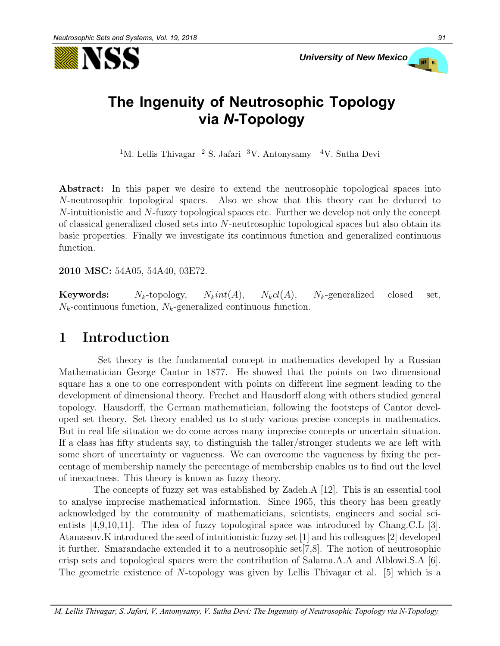



# **The Ingenuity of Neutrosophic Topology via** *N***-Topology**

<sup>1</sup>M. Lellis Thivagar <sup>2</sup> S. Jafari <sup>3</sup>V. Antonysamy <sup>4</sup>V. Sutha Devi

**Abstract:** In this paper we desire to extend the neutrosophic topological spaces into *N*-neutrosophic topological spaces. Also we show that this theory can be deduced to *N*-intuitionistic and *N*-fuzzy topological spaces etc. Further we develop not only the concept of classical generalized closed sets into *N*-neutrosophic topological spaces but also obtain its basic properties. Finally we investigate its continuous function and generalized continuous function.

**2010 MSC:** 54A05, 54A40, 03E72.

**Keywords:**  $N_k$ -topology,  $N_kint(A)$ ,  $N_kcl(A)$ ,  $N_k$ -generalized closed set,  $N_k$ -continuous function,  $N_k$ -generalized continuous function.

#### **1 Introduction**

Set theory is the fundamental concept in mathematics developed by a Russian Mathematician George Cantor in 1877. He showed that the points on two dimensional square has a one to one correspondent with points on different line segment leading to the development of dimensional theory. Frechet and Hausdorff along with others studied general topology. Hausdorff, the German mathematician, following the footsteps of Cantor developed set theory. Set theory enabled us to study various precise concepts in mathematics. But in real life situation we do come across many imprecise concepts or uncertain situation. If a class has fifty students say, to distinguish the taller/stronger students we are left with some short of uncertainty or vagueness. We can overcome the vagueness by fixing the percentage of membership namely the percentage of membership enables us to find out the level of inexactness. This theory is known as fuzzy theory.

The concepts of fuzzy set was established by Zadeh.A [12]. This is an essential tool to analyse imprecise mathematical information. Since 1965, this theory has been greatly acknowledged by the community of mathematicians, scientists, engineers and social scientists [4,9,10,11]. The idea of fuzzy topological space was introduced by Chang.C.L [3]. Atanassov.K introduced the seed of intuitionistic fuzzy set [1] and his colleagues [2] developed it further. Smarandache extended it to a neutrosophic set[7,8]. The notion of neutrosophic crisp sets and topological spaces were the contribution of Salama.A.A and Alblowi.S.A [6]. The geometric existence of *N*-topology was given by Lellis Thivagar et al. [5] which is a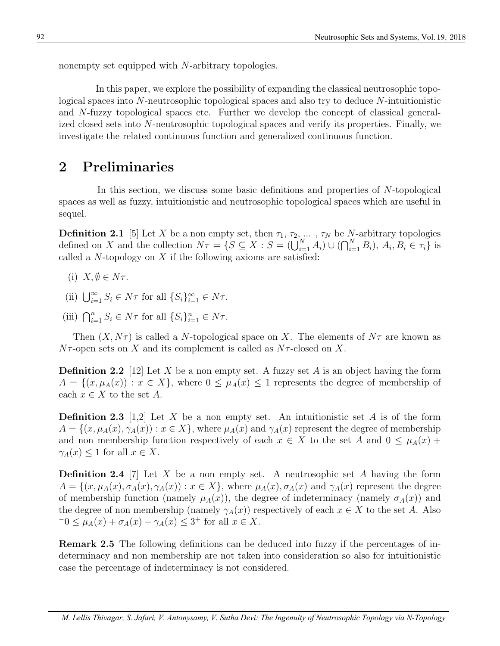nonempty set equipped with *N*-arbitrary topologies.

In this paper, we explore the possibility of expanding the classical neutrosophic topological spaces into *N*-neutrosophic topological spaces and also try to deduce *N*-intuitionistic and *N*-fuzzy topological spaces etc. Further we develop the concept of classical generalized closed sets into *N*-neutrosophic topological spaces and verify its properties. Finally, we investigate the related continuous function and generalized continuous function.

### **2 Preliminaries**

In this section, we discuss some basic definitions and properties of *N*-topological spaces as well as fuzzy, intuitionistic and neutrosophic topological spaces which are useful in sequel.

**Definition 2.1** [5] Let *X* be a non empty set, then  $\tau_1, \tau_2, \ldots, \tau_N$  be *N*-arbitrary topologies defined on X and the collection  $N\tau = \{S \subseteq X : S = (\bigcup_{i=1}^{N} A_i) \cup (\bigcap_{i=1}^{N} B_i), A_i, B_i \in \tau_i\}$  is called a *N*-topology on *X* if the following axioms are satisfied:

- (i)  $X, \emptyset \in N\tau$ .
- (ii)  $\bigcup_{i=1}^{\infty} S_i \in N\tau$  for all  $\{S_i\}_{i=1}^{\infty} \in N\tau$ .
- (iii)  $\bigcap_{i=1}^{n} S_i \in N\tau$  for all  $\{S_i\}_{i=1}^{n} \in N\tau$ .

Then  $(X, N\tau)$  is called a *N*-topological space on X. The elements of  $N\tau$  are known as  $N\tau$ -open sets on *X* and its complement is called as  $N\tau$ -closed on *X*.

**Definition 2.2** [12] Let *X* be a non empty set. A fuzzy set *A* is an object having the form  $A = \{(x, \mu_A(x)) : x \in X\}$ , where  $0 \leq \mu_A(x) \leq 1$  represents the degree of membership of each  $x \in X$  to the set  $A$ .

**Definition 2.3** [1,2] Let *X* be a non empty set. An intuitionistic set *A* is of the form  $A = \{(x, \mu_A(x), \gamma_A(x)) : x \in X\}$ , where  $\mu_A(x)$  and  $\gamma_A(x)$  represent the degree of membership and non membership function respectively of each  $x \in X$  to the set *A* and  $0 \leq \mu_A(x)$  +  $\gamma_A(x) \leq 1$  for all  $x \in X$ .

**Definition 2.4** [7] Let *X* be a non empty set. A neutrosophic set *A* having the form  $A = \{(x, \mu_A(x), \sigma_A(x), \gamma_A(x)) : x \in X\}$ , where  $\mu_A(x), \sigma_A(x)$  and  $\gamma_A(x)$  represent the degree of membership function (namely  $\mu_A(x)$ ), the degree of indeterminacy (namely  $\sigma_A(x)$ ) and the degree of non membership (namely  $\gamma_A(x)$ ) respectively of each  $x \in X$  to the set *A*. Also  $-0 \le \mu_A(x) + \sigma_A(x) + \gamma_A(x) \le 3^+$  for all  $x \in X$ .

**Remark 2.5** The following definitions can be deduced into fuzzy if the percentages of indeterminacy and non membership are not taken into consideration so also for intuitionistic case the percentage of indeterminacy is not considered.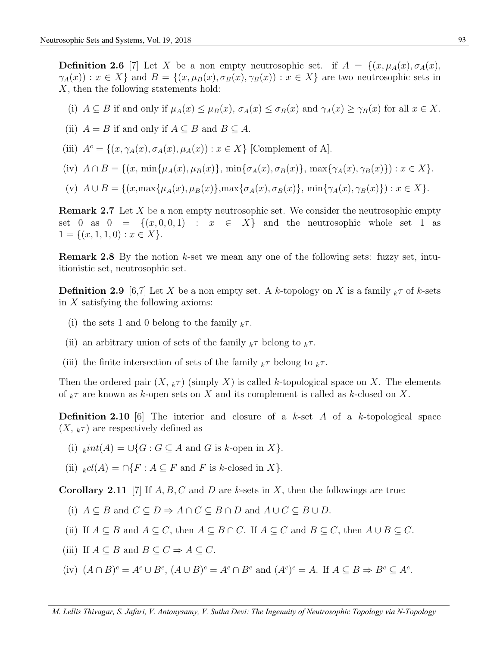**Definition 2.6** [7] Let *X* be a non empty neutrosophic set. if  $A = \{(x, \mu_A(x), \sigma_A(x),\}$  $\gamma_A(x)$ :  $x \in X$  and  $B = \{(x, \mu_B(x), \sigma_B(x), \gamma_B(x)) : x \in X\}$  are two neutrosophic sets in *X*, then the following statements hold:

- (i)  $A \subseteq B$  if and only if  $\mu_A(x) \leq \mu_B(x)$ ,  $\sigma_A(x) \leq \sigma_B(x)$  and  $\gamma_A(x) \geq \gamma_B(x)$  for all  $x \in X$ .
- (ii)  $A = B$  if and only if  $A \subseteq B$  and  $B \subseteq A$ .
- (iii)  $A^c = \{(x, \gamma_A(x), \sigma_A(x), \mu_A(x)) : x \in X\}$  [Complement of A].
- (iv)  $A \cap B = \{(x, \min\{\mu_A(x), \mu_B(x)\}, \min\{\sigma_A(x), \sigma_B(x)\}, \max\{\gamma_A(x), \gamma_B(x)\}): x \in X\}.$
- (v)  $A \cup B = \{(x, \max\{\mu_A(x), \mu_B(x)\}, \max\{\sigma_A(x), \sigma_B(x)\}, \min\{\gamma_A(x), \gamma_B(x)\}): x \in X\}.$

**Remark 2.7** Let *X* be a non empty neutrosophic set. We consider the neutrosophic empty set 0 as  $0 = \{(x, 0, 0, 1) : x \in X\}$  and the neutrosophic whole set 1 as  $1 = \{(x, 1, 1, 0) : x \in X\}.$ 

**Remark 2.8** By the notion *k*-set we mean any one of the following sets: fuzzy set, intuitionistic set, neutrosophic set.

**Definition 2.9** [6,7] Let *X* be a non empty set. A *k*-topology on *X* is a family  $_k\tau$  of *k*-sets in *X* satisfying the following axioms:

- (i) the sets 1 and 0 belong to the family  $_k\tau$ .
- (ii) an arbitrary union of sets of the family  $k\tau$  belong to  $k\tau$ .
- (iii) the finite intersection of sets of the family  $_k \tau$  belong to  $_k \tau$ .

Then the ordered pair  $(X, k\tau)$  (simply X) is called *k*-topological space on X. The elements of *<sup>k</sup>τ* are known as *k*-open sets on *X* and its complement is called as *k*-closed on *X*.

**Definition 2.10** [6] The interior and closure of a *k*-set *A* of a *k*-topological space  $(X, \kappa)$  are respectively defined as

- (i)  $_kint(A) = \bigcup\{G : G \subseteq A \text{ and } G \text{ is } k\text{-open in } X\}.$
- (ii)  $_{k}cl(A) = \bigcap \{F : A \subseteq F \text{ and } F \text{ is } k\text{-closed in } X\}.$

**Corollary 2.11** [7] If *A, B, C* and *D* are *k*-sets in *X*, then the followings are true:

- (i)  $A \subseteq B$  and  $C \subseteq D \Rightarrow A \cap C \subseteq B \cap D$  and  $A \cup C \subseteq B \cup D$ .
- (ii) If  $A \subseteq B$  and  $A \subseteq C$ , then  $A \subseteq B \cap C$ . If  $A \subseteq C$  and  $B \subseteq C$ , then  $A \cup B \subseteq C$ .
- (iii) If  $A \subseteq B$  and  $B \subseteq C \Rightarrow A \subseteq C$ .
- (iv)  $(A \cap B)^c = A^c \cup B^c$ ,  $(A \cup B)^c = A^c \cap B^c$  and  $(A^c)^c = A$ . If  $A \subseteq B \Rightarrow B^c \subseteq A^c$ .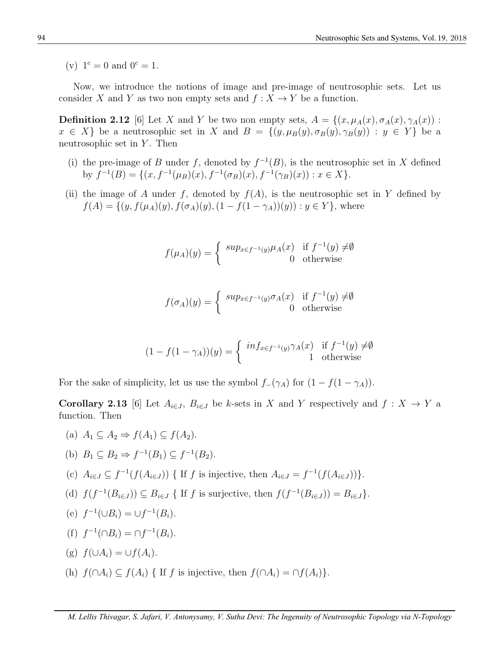(v)  $1^c = 0$  and  $0^c = 1$ .

Now, we introduce the notions of image and pre-image of neutrosophic sets. Let us consider *X* and *Y* as two non empty sets and  $f: X \to Y$  be a function.

**Definition 2.12** [6] Let *X* and *Y* be two non empty sets,  $A = \{(x, \mu_A(x), \sigma_A(x), \gamma_A(x))$ :  $x \in X$  be a neutrosophic set in *X* and  $B = \{(y, \mu_B(y), \sigma_B(y), \gamma_B(y)) : y \in Y\}$  be a neutrosophic set in *Y* . Then

- (i) the pre-image of *B* under *f*, denoted by  $f^{-1}(B)$ , is the neutrosophic set in *X* defined by  $f^{-1}(B) = \{(x, f^{-1}(\mu_B)(x), f^{-1}(\sigma_B)(x), f^{-1}(\gamma_B)(x)) : x \in X\}.$
- (ii) the image of *A* under *f*, denoted by  $f(A)$ , is the neutrosophic set in *Y* defined by  $f(A) = \{(y, f(\mu_A)(y), f(\sigma_A)(y), (1 - f(1 - \gamma_A))(y)) : y \in Y\}$ , where

$$
f(\mu_A)(y) = \begin{cases} \sup_{x \in f^{-1}(y)} \mu_A(x) & \text{if } f^{-1}(y) \neq \emptyset \\ 0 & \text{otherwise} \end{cases}
$$

$$
f(\sigma_A)(y) = \begin{cases} \sup_{x \in f^{-1}(y)} \sigma_A(x) & \text{if } f^{-1}(y) \neq \emptyset \\ 0 & \text{otherwise} \end{cases}
$$

$$
(1 - f(1 - \gamma_A))(y) = \begin{cases} \inf_{x \in f^{-1}(y)} \gamma_A(x) & \text{if } f^{-1}(y) \neq \emptyset \\ 1 & \text{otherwise} \end{cases}
$$

For the sake of simplicity, let us use the symbol  $f$ <sup>*-*</sup>( $\gamma$ *A*) for  $(1 - f(1 - \gamma_A))$ .

**Corollary 2.13** [6] Let  $A_{i\in J}$ ,  $B_{i\in J}$  be *k*-sets in *X* and *Y* respectively and  $f: X \to Y$  a function. Then

(a) 
$$
A_1 \subseteq A_2 \Rightarrow f(A_1) \subseteq f(A_2)
$$
.

(b) 
$$
B_1 \subseteq B_2 \Rightarrow f^{-1}(B_1) \subseteq f^{-1}(B_2)
$$
.

- (c)  $A_{i\in J} \subseteq f^{-1}(f(A_{i\in J}))$  { If f is injective, then  $A_{i\in J} = f^{-1}(f(A_{i\in J}))$ .
- (d)  $f(f^{-1}(B_{i\in J})) \subseteq B_{i\in J}$  { If f is surjective, then  $f(f^{-1}(B_{i\in J})) = B_{i\in J}$ .

(e) 
$$
f^{-1}(\cup B_i) = \cup f^{-1}(B_i)
$$
.

 $(f)$   $f^{-1}(\bigcap B_i) = \bigcap f^{-1}(B_i).$ 

(g) 
$$
f(\cup A_i) = \cup f(A_i)
$$
.

(h)  $f(\bigcap A_i) \subseteq f(A_i)$  { If *f* is injective, then  $f(\bigcap A_i) = \bigcap f(A_i)$ }.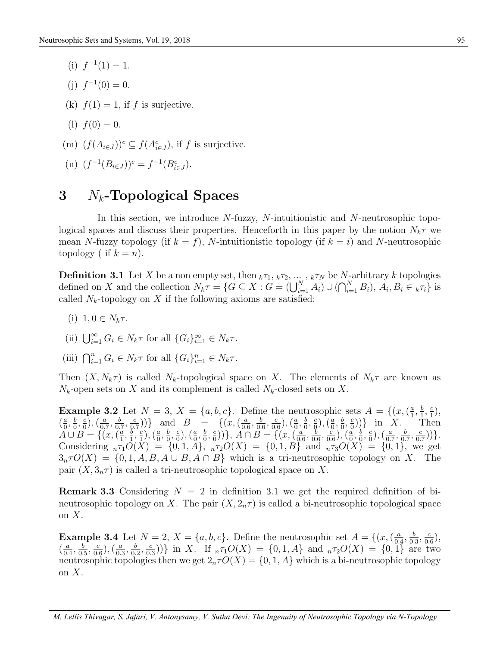- (i)  $f^{-1}(1) = 1$ .
- (j)  $f^{-1}(0) = 0$ .
- (k)  $f(1) = 1$ , if f is surjective.
- (1)  $f(0) = 0$ .
- (m)  $(f(A_{i\in J}))^c \subseteq f(A_{i\in J}^c)$ , if *f* is surjective.

(n) 
$$
(f^{-1}(B_{i\in J}))^c = f^{-1}(B_{i\in J}^c)
$$
.

### **3** *Nk***-Topological Spaces**

In this section, we introduce *N*-fuzzy, *N*-intuitionistic and *N*-neutrosophic topological spaces and discuss their properties. Henceforth in this paper by the notion  $N_k \tau$  we mean *N*-fuzzy topology (if  $k = f$ ), *N*-intuitionistic topology (if  $k = i$ ) and *N*-neutrosophic topology ( if  $k = n$ ).

**Definition 3.1** Let *X* be a non empty set, then  $k\tau_1, k\tau_2, \ldots, k\tau_N$  be *N*-arbitrary *k* topologies defined on X and the collection  $N_k \tau = \{ G \subseteq X : G = (\bigcup_{i=1}^N A_i) \cup (\bigcap_{i=1}^N B_i), A_i, B_i \in k \tau_i \}$  is called  $N_k$ -topology on  $X$  if the following axioms are satisfied:

- (i)  $1, 0 \in N_k \tau$ .
- (ii)  $\bigcup_{i=1}^{\infty} G_i \in N_k \tau$  for all  $\{G_i\}_{i=1}^{\infty} \in N_k \tau$ .
- (iii)  $\bigcap_{i=1}^{n} G_i \in N_k \tau$  for all  $\{G_i\}_{i=1}^{n} \in N_k \tau$ .

Then  $(X, N_k\tau)$  is called  $N_k$ -topological space on X. The elements of  $N_k\tau$  are known as  $N_k$ -open sets on *X* and its complement is called  $N_k$ -closed sets on *X*.

**Example 3.2** Let  $N = 3$ ,  $X = \{a, b, c\}$ . Define the neutrosophic sets  $A = \{(x, (\frac{a}{1}, \frac{b}{1}, \frac{c}{1}),$ **Example 6.2** Ecc  $N = 6, X = \{a, b, c\}$ . Befine the neutrosophic sets  $Y = \{(x, \{1, 1, 1\})$ <br>  $\{\frac{a}{b}, \frac{b}{c}, \frac{c}{c}\}, \{\frac{a}{a}, \frac{b}{c}, \frac{c}{c}\}\}$  and  $B = \{(x, (\frac{a}{0.6}, \frac{b}{0.6}, \frac{c}{0.6}), (\frac{a}{0.}, \frac{b}{0.6}, \frac{c}{c}))\}$  in X. The  $\frac{a}{0}$ ,  $\frac{b}{0}$  $\frac{b}{0}$ ,  $\frac{c}{0}$  $\left(\frac{c}{0}\right),\left(\frac{a}{0}\right)$  $\frac{a}{0.7}, \frac{b}{0.}$  $\frac{b}{0.7}, \frac{c}{0.7}$  $(\frac{c}{p \cdot 7})$ } and *B* = {(*x*, ( $\frac{a}{0}$ )  $\frac{a}{0.6}, \frac{b}{0.6}$  $\frac{b}{0.6}, \frac{c}{0.5}$  $\left(\frac{c}{0.6}\right)$ ,  $\left(\frac{a}{0.6}\right)$  $\frac{a}{0}, \frac{b}{0}$  $\frac{b}{0}, \frac{c}{0}$  $(\frac{c}{9}), (\frac{a}{0})$  $\frac{a}{0},\frac{b}{0}$  $\frac{b}{0},\frac{c}{0}$  $\binom{c}{0}$ ) in *X*. Then *A* ∪ *B* = {(*x,*  $\left(\frac{a}{1}\right)$  $\frac{a}{1}, \frac{b}{1}$  $\frac{b}{1}, \frac{c}{1}$  $\left(\frac{c}{1}\right), \left(\frac{a}{0}\right)$  $\frac{a}{0}, \frac{b}{0}$  $\frac{b}{0},\frac{c}{0}$  $\left(\frac{c}{0}\right), \left(\frac{a}{0}\right)$  $\frac{a}{0}$ ,  $\frac{b}{0}$  $\frac{b}{0}$ ,  $\frac{c}{0}$  $\binom{c}{0}$ ))<sup>2</sup>, *A*  $\cap$  *B* = {(*x*, ( $\frac{a}{0}$ )  $\frac{a}{0.6}, \frac{b}{0.6}$  $\frac{b}{0.6}, \frac{c}{0.6}$  $(\frac{\check{c}}{0.6})^{\check{}}$ ,  $(\frac{\check{a}}{0})$  $\frac{\overset{\sim}{a}}{0},\frac{b}{0}$  $\frac{b}{0}, \frac{c}{0}$  $\left(\frac{c}{0}\right),\left(\frac{a}{0}\right)$  $\frac{a}{0.7}, \frac{b}{0.7}$  $\frac{b}{0.7}, \frac{c}{0.7}$  $\frac{c}{0.7})$ ). Considering  $_{n}\tau_{1}O(X) = \{0,1,A\}, \_{n}\tau_{2}O(X) = \{0,1,B\}$  and  $_{n}\tau_{3}O(X) = \{0,1\},\$  we get  $3<sub>n</sub>\tau O(X) = \{0, 1, A, B, A \cup B, A \cap B\}$  which is a tri-neutrosophic topology on X. The pair  $(X, 3<sub>n</sub>\tau)$  is called a tri-neutrosophic topological space on X.

**Remark 3.3** Considering  $N = 2$  in definition 3.1 we get the required definition of bineutrosophic topology on *X*. The pair  $(X, 2<sub>n</sub>\tau)$  is called a bi-neutrosophic topological space on *X*.

**Example 3.4** Let  $N = 2$ ,  $X = \{a, b, c\}$ . Define the neutrosophic set  $A = \{(x, \begin{pmatrix} a & b \\ c & c \end{pmatrix})\}$  $\frac{a}{0.4}, \frac{b}{0.5}$  $\frac{b}{0.3}, \frac{c}{0.5}$  $\frac{c}{0.6}$  $\left(\frac{a}{0}\right)$  $\frac{a}{0.4}, \frac{b}{0.}$  $\frac{b}{0.5}, \frac{c}{0.5}$  $\frac{c}{0.6}$ ),  $\left(\frac{a}{0.5}\right)$  $\frac{a}{0.3}, \frac{b}{0.5}$  $\frac{b}{0.2}, \frac{c}{0.3}$  $\left(\frac{c}{0.3}\right)$ ))<sup>2</sup> in *X*. If  $_n\tau_1O(X) = \{0, 1, A\}$  and  $_n\tau_2O(X) = \{0, 1\}$  are two neutrosophic topologies then we get  $2<sub>n</sub> \tau O(X) = \{0, 1, A\}$  which is a bi-neutrosophic topology on *X*.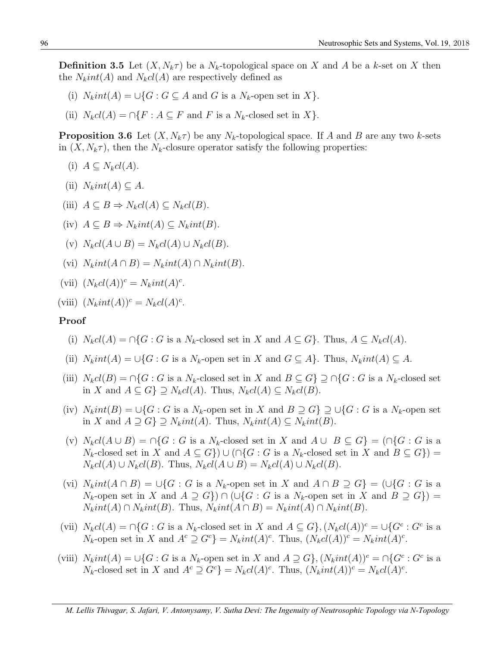**Definition 3.5** Let  $(X, N_k \tau)$  be a  $N_k$ -topological space on X and A be a k-set on X then the  $N_kint(A)$  and  $N_kcl(A)$  are respectively defined as

- (i)  $N_kint(A) = \bigcup \{ G : G \subseteq A \text{ and } G \text{ is a } N_k\text{-open set in } X \}.$
- (ii)  $N_kcl(A) = \bigcap \{F : A \subseteq F \text{ and } F \text{ is a } N_k\text{-closed set in } X\}.$

**Proposition** 3.6 Let  $(X, N_k \tau)$  be any  $N_k$ -topological space. If *A* and *B* are any two *k*-sets in  $(X, N_k \tau)$ , then the  $N_k$ -closure operator satisfy the following properties:

(i) 
$$
A \subseteq N_kcl(A)
$$
.

- $(iii)$   $N_kint(A) \subseteq A$ .
- (iii)  $A \subseteq B \Rightarrow N_kcl(A) \subseteq N_kcl(B)$ .
- $(iv)$   $A \subseteq B \Rightarrow N_kint(A) \subseteq N_kint(B)$ .
- $(V)$   $N_kcl(A \cup B) = N_kcl(A) \cup N_kcl(B).$
- $V$ <sup>i</sup>  $N_k$ *int* $(A \cap B) = N_k$ *int* $(A) \cap N_k$ *int* $(B)$ .

(vii) 
$$
(N_kcl(A))^c = N_kint(A)^c.
$$

(viii)  $(N_kint(A))^c = N_kcl(A)^c$ .

#### **Proof**

- (i)  $N_kcl(A) = \bigcap \{G : G \text{ is a } N_k\text{-closed set in } X \text{ and } A \subseteq G\}$ . Thus,  $A \subseteq N_kcl(A)$ .
- (ii)  $N_kint(A) = \bigcup\{G : G$  is a  $N_k$ -open set in  $X$  and  $G \subseteq A\}$ . Thus,  $N_kint(A) \subseteq A$ .
- (iii)  $N_kcl(B) = \bigcap \{G : G \text{ is a } N_k\text{-closed set in } X \text{ and } B \subseteq G\} \supseteq \bigcap \{G : G \text{ is a } N_k\text{-closed set in } X \text{ and } G \subseteq G\}$ in *X* and *A ⊆ G} ⊇ Nkcl*(*A*). Thus, *Nkcl*(*A*) *⊆ Nkcl*(*B*).
- (iv)  $N_kint(B) = \bigcup\{G : G$  is a  $N_k$ -open set in  $X$  and  $B \supseteq G$   $\supseteq \bigcup\{G : G$  is a  $N_k$ -open set in *X* and *A ⊇ G} ⊇ Nkint*(*A*). Thus, *Nkint*(*A*) *⊆ Nkint*(*B*).
- (v)  $N_kcl(A\cup B) = \bigcap \{G : G$  is a  $N_k$ -closed set in X and  $A\cup B \subseteq G\} = \bigcap \{G : G$  is a *N<sub>k</sub>*-closed set in *X* and  $A \subseteq G$ *}*)  $\cup$  ( $\cap$ { $G : G$  is a  $N_k$ -closed set in *X* and  $B \subseteq G$ }) =  $N_kcl(A) \cup N_kcl(B)$ . Thus,  $N_kcl(A \cup B) = N_kcl(A) \cup N_kcl(B)$ .
- (vi)  $N_kint(A \cap B) = \bigcup \{G : G$  is a  $N_k$ -open set in X and  $A \cap B \supseteq G\} = \bigcup \{G : G$  is a *N<sub>k</sub>*-open set in *X* and  $A \supseteq G$ *}*)  $\cap$  (*∪{G* : *G* is a *N<sub>k</sub>*-open set in *X* and  $B \supseteq G$ *}*) =  $N_kint(A) \cap N_kint(B)$ . Thus,  $N_kint(A \cap B) = N_kint(A) \cap N_kint(B)$ .
- (vii)  $N_kcl(A) = \bigcap\{G : G$  is a  $N_k$ -closed set in X and  $A \subseteq G\}$ ,  $(N_kcl(A))^c = \bigcup\{G^c : G^c$  is a  $N_k$ -open set in X and  $A^c \supseteq G^c$  =  $N_kint(A)^c$ . Thus,  $(N_kcl(A))^c = N_kint(A)^c$ .
- (viii)  $N_kint(A) = \bigcup\{G : G$  is a  $N_k$ -open set in X and  $A \supseteq G\}$ ,  $(N_kint(A))^c = \bigcap\{G^c : G^c$  is a  $N_k$ -closed set in X and  $A^c \supseteq G^c$  =  $N_kcl(A)^c$ . Thus,  $(N_kint(A))^c = N_kcl(A)^c$ .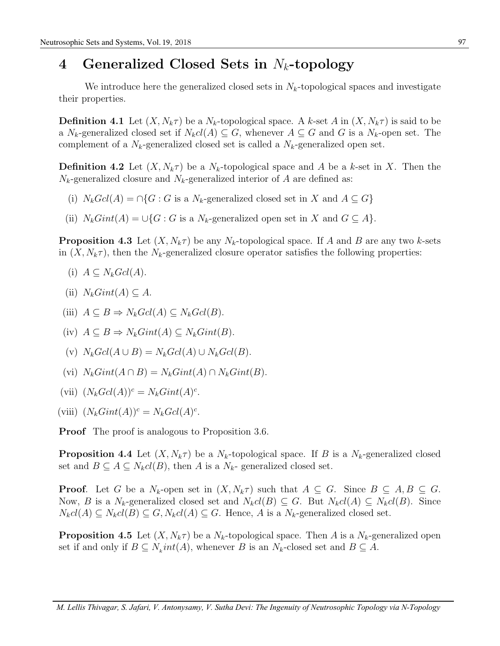### **4 Generalized Closed Sets in** *Nk***-topology**

We introduce here the generalized closed sets in  $N_k$ -topological spaces and investigate their properties.

**Definition 4.1** Let  $(X, N_k \tau)$  be a  $N_k$ -topological space. A *k*-set *A* in  $(X, N_k \tau)$  is said to be a *N<sub>k</sub>*-generalized closed set if  $N_kcl(A) \subseteq G$ , whenever  $A \subseteq G$  and  $G$  is a  $N_k$ -open set. The complement of a  $N_k$ -generalized closed set is called a  $N_k$ -generalized open set.

**Definition 4.2** Let  $(X, N_k \tau)$  be a  $N_k$ -topological space and A be a k-set in X. Then the  $N_k$ -generalized closure and  $N_k$ -generalized interior of *A* are defined as:

- (i)  $N_k \text{Gcl}(A) = \bigcap \{G : G \text{ is a } N_k\text{-generalized closed set in } X \text{ and } A \subseteq G\}$
- (ii)  $N_k Gint(A) = \bigcup \{ G : G$  is a  $N_k$ -generalized open set in *X* and  $G \subseteq A \}$ .

**Proposition 4.3** Let  $(X, N_k \tau)$  be any  $N_k$ -topological space. If *A* and *B* are any two *k*-sets in  $(X, N_k \tau)$ , then the  $N_k$ -generalized closure operator satisfies the following properties:

- (i)  $A \subseteq N_k \text{Gcl}(A)$ .
- $(iii)$  *N<sub>k</sub>Gint*(*A*) ⊂ *A*.
- (iii)  $A \subseteq B \Rightarrow N_kGcl(A) \subseteq N_kGcl(B)$ .
- $(iv)$  *A* ⊆ *B*  $\Rightarrow$  *N<sub>k</sub>Gint*(*A*) ⊆ *N<sub>k</sub>Gint*(*B*).
- $(V)$   $N_k \cdot Gcl(A \cup B) = N_k \cdot Gcl(A) \cup N_k \cdot Gcl(B).$
- $V_k$ *Gint* $(A \cap B) = N_k$ *Gint* $(A) \cap N_k$ *Gint* $(B)$ .
- (vii)  $(N_kGcl(A))^c = N_kGint(A)^c$ .
- (viii)  $(N_k Gint(A))^c = N_k Gcl(A)^c$ .

**Proof** The proof is analogous to Proposition 3.6.

**Proposition 4.4** Let  $(X, N_k \tau)$  be a  $N_k$ -topological space. If *B* is a  $N_k$ -generalized closed set and  $B \subseteq A \subseteq N_kcl(B)$ , then *A* is a  $N_k$ - generalized closed set.

**Proof**. Let *G* be a  $N_k$ -open set in  $(X, N_k \tau)$  such that  $A \subseteq G$ . Since  $B \subseteq A, B \subseteq G$ . Now, *B* is a *N<sub>k</sub>*-generalized closed set and  $N_kcl(B) \subseteq G$ . But  $N_kcl(A) \subseteq N_kcl(B)$ . Since  $N_kcl(A) \subseteq N_kcl(B) \subseteq G, N_kcl(A) \subseteq G$ . Hence, *A* is a  $N_k$ -generalized closed set.

**Proposition 4.5** Let  $(X, N_k \tau)$  be a  $N_k$ -topological space. Then *A* is a  $N_k$ -generalized open set if and only if  $B \subseteq N_kint(A)$ , whenever *B* is an  $N_k$ -closed set and  $B \subseteq A$ .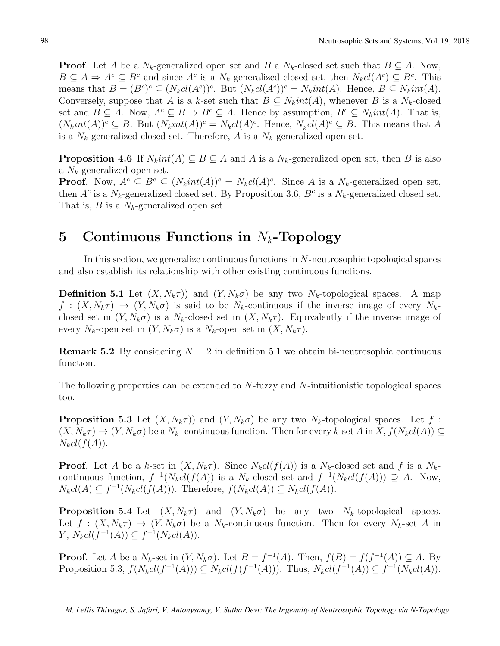**Proof**. Let *A* be a  $N_k$ -generalized open set and *B* a  $N_k$ -closed set such that  $B \subseteq A$ . Now,  $B \subseteq A \Rightarrow A^c \subseteq B^c$  and since  $A^c$  is a  $N_k$ -generalized closed set, then  $N_kcl(A^c) \subseteq B^c$ . This means that  $B = (B^c)^c \subseteq (N_k cl(A^c))^c$ . But  $(N_k cl(A^c))^c = N_k int(A)$ . Hence,  $B \subseteq N_k int(A)$ . Conversely, suppose that *A* is a *k*-set such that  $B \subseteq N_kint(A)$ , whenever *B* is a  $N_k$ -closed set and  $B \subseteq A$ . Now,  $A^c \subseteq B \Rightarrow B^c \subseteq A$ . Hence by assumption,  $B^c \subseteq N_kint(A)$ . That is,  $(N_kint(A))^c \subseteq B$ . But  $(N_kint(A))^c = N_kcl(A)^c$ . Hence,  $N_kcl(A)^c \subseteq B$ . This means that A is a  $N_k$ -generalized closed set. Therefore, A is a  $N_k$ -generalized open set.

**Proposition 4.6** If  $N_kint(A) \subseteq B \subseteq A$  and *A* is a  $N_k$ -generalized open set, then *B* is also a *Nk*-generalized open set.

**Proof.** Now,  $A^c \subseteq B^c \subseteq (N_kint(A))^c = N_kcl(A)^c$ . Since A is a  $N_k$ -generalized open set, then  $A^c$  is a  $N_k$ -generalized closed set. By Proposition 3.6,  $B^c$  is a  $N_k$ -generalized closed set. That is, *B* is a *Nk*-generalized open set.

# **5 Continuous Functions in** *Nk***-Topology**

In this section, we generalize continuous functions in *N*-neutrosophic topological spaces and also establish its relationship with other existing continuous functions.

**Definition 5.1** Let  $(X, N_k \tau)$  and  $(Y, N_k \sigma)$  be any two  $N_k$ -topological spaces. A map  $f: (X, N_k \tau) \to (Y, N_k \sigma)$  is said to be  $N_k$ -continuous if the inverse image of every  $N_k$ closed set in  $(Y, N_k \sigma)$  is a  $N_k$ -closed set in  $(X, N_k \tau)$ . Equivalently if the inverse image of every  $N_k$ -open set in  $(Y, N_k \sigma)$  is a  $N_k$ -open set in  $(X, N_k \tau)$ .

**Remark 5.2** By considering  $N = 2$  in definition 5.1 we obtain bi-neutrosophic continuous function.

The following properties can be extended to *N*-fuzzy and *N*-intuitionistic topological spaces too.

**Proposition 5.3** Let  $(X, N_k \tau)$  and  $(Y, N_k \sigma)$  be any two  $N_k$ -topological spaces. Let  $f$ :  $(X, N_k\tau) \to (Y, N_k\sigma)$  be a  $N_k$ - continuous function. Then for every *k*-set *A* in  $X, f(N_kcl(A)) \subseteq$  $N_kcl(f(A)).$ 

**Proof**. Let *A* be a *k*-set in  $(X, N_k \tau)$ . Since  $N_k cl(f(A))$  is a  $N_k$ -closed set and *f* is a  $N_k$ continuous function,  $f^{-1}(N_kcl(f(A))$  is a  $N_k$ -closed set and  $f^{-1}(N_kcl(f(A))) \supseteq A$ . Now,  $N_kcl(A) \subseteq f^{-1}(N_kcl(f(A))).$  Therefore,  $f(N_kcl(A)) \subseteq N_kcl(f(A)).$ 

**Proposition 5.4** Let  $(X, N_k \tau)$  and  $(Y, N_k \sigma)$  be any two  $N_k$ -topological spaces. Let  $f : (X, N_k \tau) \to (Y, N_k \sigma)$  be a  $N_k$ -continuous function. Then for every  $N_k$ -set A in *Y*,  $N_kcl(f^{-1}(A)) ⊆ f^{-1}(N_kcl(A)).$ 

**Proof**. Let *A* be a  $N_k$ -set in  $(Y, N_k \sigma)$ . Let  $B = f^{-1}(A)$ . Then,  $f(B) = f(f^{-1}(A)) \subseteq A$ . By Proposition 5.3,  $f(N_kcl(f^{-1}(A))) \subseteq N_kcl(f(f^{-1}(A)))$ . Thus,  $N_kcl(f^{-1}(A)) \subseteq f^{-1}(N_kcl(A))$ .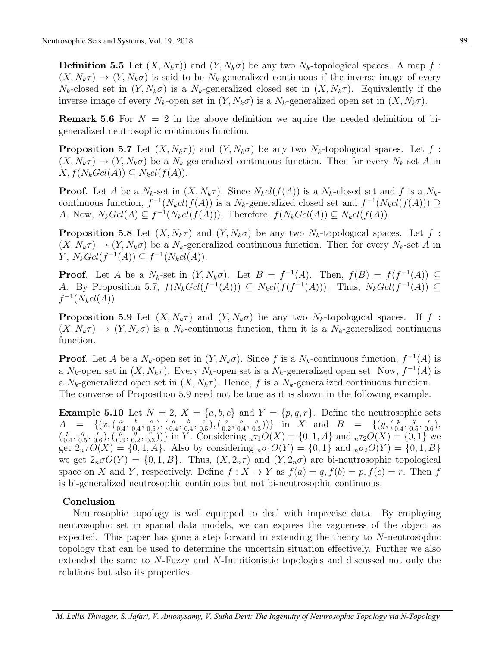**Definition 5.5** Let  $(X, N_k\tau)$  and  $(Y, N_k\sigma)$  be any two  $N_k$ -topological spaces. A map  $f$ :  $(X, N_k \tau) \to (Y, N_k \sigma)$  is said to be  $N_k$ -generalized continuous if the inverse image of every *N<sub>k</sub>*-closed set in  $(Y, N_k\sigma)$  is a *N<sub>k</sub>*-generalized closed set in  $(X, N_k\tau)$ . Equivalently if the inverse image of every  $N_k$ -open set in  $(Y, N_k \sigma)$  is a  $N_k$ -generalized open set in  $(X, N_k \tau)$ .

**Remark 5.6** For  $N = 2$  in the above definition we aquire the needed definition of bigeneralized neutrosophic continuous function.

**Proposition 5.7** Let  $(X, N_k \tau)$  and  $(Y, N_k \sigma)$  be any two  $N_k$ -topological spaces. Let  $f$ :  $(X, N_k \tau) \to (Y, N_k \sigma)$  be a  $N_k$ -generalized continuous function. Then for every  $N_k$ -set *A* in  $X, f(N_kGcl(A)) \subseteq N_kcl(f(A)).$ 

**Proof**. Let *A* be a  $N_k$ -set in  $(X, N_k \tau)$ . Since  $N_k cl(f(A))$  is a  $N_k$ -closed set and *f* is a  $N_k$ continuous function,  $f^{-1}(N_kcl(f(A))$  is a  $N_k$ -generalized closed set and  $f^{-1}(N_kcl(f(A))) \supseteq$ A. Now,  $N_kGcl(A) \subseteq f^{-1}(N_kcl(f(A)))$ . Therefore,  $f(N_kGcl(A)) \subseteq N_kcl(f(A))$ .

**Proposition 5.8** Let  $(X, N_k \tau)$  and  $(Y, N_k \sigma)$  be any two  $N_k$ -topological spaces. Let  $f$ :  $(X, N_k \tau) \to (Y, N_k \sigma)$  be a  $N_k$ -generalized continuous function. Then for every  $N_k$ -set *A* in *Y*,  $N_k Gcl(f^{-1}(A)) ⊆ f^{-1}(N_k cl(A)).$ 

**Proof**. Let *A* be a *N<sub>k</sub>*-set in  $(Y, N_k \sigma)$ . Let *B* =  $f^{-1}(A)$ . Then,  $f(B) = f(f^{-1}(A))$  ⊆ A. By Proposition 5.7,  $f(N_kGcl(f^{-1}(A))) \subseteq N_kcl(f(f^{-1}(A)))$ . Thus,  $N_kGcl(f^{-1}(A)) \subseteq$  $f^{-1}(N_kcl(A)).$ 

**Proposition 5.9** Let  $(X, N_k \tau)$  and  $(Y, N_k \sigma)$  be any two  $N_k$ -topological spaces. If  $f$ :  $(X, N_k \tau) \to (Y, N_k \sigma)$  is a  $N_k$ -continuous function, then it is a  $N_k$ -generalized continuous function.

**Proof**. Let *A* be a  $N_k$ -open set in  $(Y, N_k \sigma)$ . Since *f* is a  $N_k$ -continuous function,  $f^{-1}(A)$  is a  $N_k$ -open set in  $(X, N_k \tau)$ . Every  $N_k$ -open set is a  $N_k$ -generalized open set. Now,  $f^{-1}(A)$  is a  $N_k$ -generalized open set in  $(X, N_k \tau)$ . Hence, f is a  $N_k$ -generalized continuous function. The converse of Proposition 5.9 need not be true as it is shown in the following example.

**Example 5.10** Let  $N = 2$ ,  $X = \{a, b, c\}$  and  $Y = \{p, q, r\}$ . Define the neutrosophic sets *A* = { $(x, (\frac{a}{a}))$  $\frac{a}{0.4}, \frac{b}{0.5}$  $\frac{b}{0.4}, \frac{c}{0.}$  $\left(\frac{c}{0.5}\right)$ ,  $\left(\frac{a}{0.4}\right)$  $\frac{a}{0.4}, \frac{b}{0.4}$  $\frac{b}{0.4}, \frac{c}{0.}$  $\frac{c}{0.5}$ ),  $\left(\frac{a}{0.5}\right)$  $\frac{a}{0.2}, \frac{b}{0.2}$  $\frac{b}{0.4}, \frac{c}{0.5}$  $\left(\frac{c}{0.3}\right)$ )} in *X* and *B* = { $(y, (\frac{p}{0.3}))$  $\frac{p}{0.4}, \frac{q}{0.}$  $\frac{q}{0.5}, \frac{r}{0.5}$  $(\frac{r}{0.6})$ ,  $\left(\frac{p}{0}\right)$  $\frac{p}{0.4}, \frac{q}{0.}$  $\frac{q}{0.5}, \frac{r}{0.5}$  $(\frac{r}{0.6})$ ,  $(\frac{p}{0.6})$  $\frac{\dddot{p}}{0.3}, \frac{\dddot{q}}{0.}$  $\frac{q}{0.2}, \frac{r}{0.2}$  $(\frac{r}{0.3})$ } in *Y*. Considering  $_n\tau_1O(X) = \{0, 1, A\}$  and  $_n\tau_2O(X) = \{0, 1\}$  we get  $2_n \tau O(X) = \{0, 1, A\}$ . Also by considering  ${}_{n} \sigma_1 O(Y) = \{0, 1\}$  and  ${}_{n} \sigma_2 O(Y) = \{0, 1, B\}$ we get  $2_n \sigma O(Y) = \{0, 1, B\}$ . Thus,  $(X, 2_n \tau)$  and  $(Y, 2_n \sigma)$  are bi-neutrosophic topological space on *X* and *Y*, respectively. Define  $f: X \to Y$  as  $f(a) = q$ ,  $f(b) = p$ ,  $f(c) = r$ . Then *f* is bi-generalized neutrosophic continuous but not bi-neutrosophic continuous.

#### **Conclusion**

Neutrosophic topology is well equipped to deal with imprecise data. By employing neutrosophic set in spacial data models, we can express the vagueness of the object as expected. This paper has gone a step forward in extending the theory to *N*-neutrosophic topology that can be used to determine the uncertain situation effectively. Further we also extended the same to *N*-Fuzzy and *N*-Intuitionistic topologies and discussed not only the relations but also its properties.